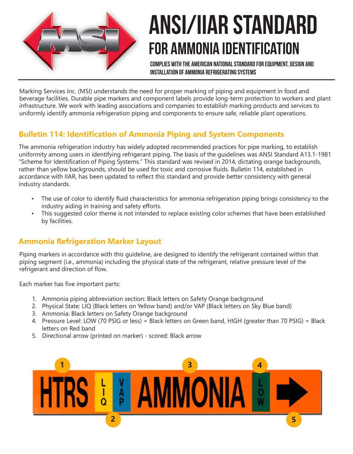

# ANSI/IIAR Standard For AMMONIA Identification

Complies with the american national standard for equipment, design and installation of ammonia refrigerating systems

Marking Services Inc. (MSI) understands the need for proper marking of piping and equipment in food and beverage facilities. Durable pipe markers and component labels provide long-term protection to workers and plant infrastructure. We work with leading associations and companies to establish marking products and services to uniformly identify ammonia refrigeration piping and components to ensure safe, reliable plant operations.

# **Bulletin 114: Identification of Ammonia Piping and System Components**

The ammonia refrigeration industry has widely adopted recommended practices for pipe marking, to establish uniformity among users in identifying refrigerant piping. The basis of the guidelines was ANSI Standard A13.1-1981 "Scheme for Identification of Piping Systems." This standard was revised in 2014, dictating orange backgrounds, rather than yellow backgrounds, should be used for toxic and corrosive fluids. Bulletin 114, established in accordance with IIAR, has been updated to reflect this standard and provide better consistency with general industry standards.

- The use of color to identify fluid characteristics for ammonia refrigeration piping brings consistency to the industry aiding in training and safety efforts.
- This suggested color theme is not intended to replace existing color schemes that have been established by facilities.

### **Ammonia Refrigeration Marker Layout**

Piping markers in accordance with this guideline, are designed to identify the refrigerant contained within that piping segment (i.e., ammonia) including the physical state of the refrigerant, relative pressure level of the refrigerant and direction of flow.

Each marker has five important parts:

- 1. Ammonia piping abbreviation section: Black letters on Safety Orange background
- 2. Physical State: LIQ (Black letters on Yellow band) and/or VAP (Black letters on Sky Blue band)
- 3. Ammonia: Black letters on Safety Orange background
- 4. Pressure Level: LOW (70 PSIG or less) = Black letters on Green band, HIGH (greater than 70 PSIG) = Black letters on Red band
- 5. Directional arrow (printed on marker) scored: Black arrow

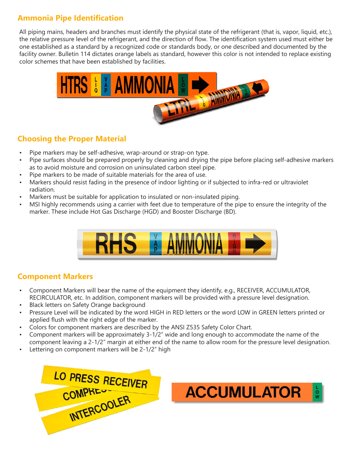# **Ammonia Pipe Identification**

All piping mains, headers and branches must identify the physical state of the refrigerant (that is, vapor, liquid, etc.), the relative pressure level of the refrigerant, and the direction of flow. The identification system used must either be one established as a standard by a recognized code or standards body, or one described and documented by the facility owner. Bulletin 114 dictates orange labels as standard, however this color is not intended to replace existing color schemes that have been established by facilities.



#### **Choosing the Proper Material**

- Pipe markers may be self-adhesive, wrap-around or strap-on type.
- Pipe surfaces should be prepared properly by cleaning and drying the pipe before placing self-adhesive markers as to avoid moisture and corrosion on uninsulated carbon steel pipe.
- Pipe markers to be made of suitable materials for the area of use.
- Markers should resist fading in the presence of indoor lighting or if subjected to infra-red or ultraviolet radiation.
- Markers must be suitable for application to insulated or non-insulated piping.
- MSI highly recommends using a carrier with feet due to temperature of the pipe to ensure the integrity of the marker. These include Hot Gas Discharge (HGD) and Booster Discharge (BD).



#### **Component Markers**

- Component Markers will bear the name of the equipment they identify, e.g., RECEIVER, ACCUMULATOR, RECIRCULATOR, etc. In addition, component markers will be provided with a pressure level designation.
- Black letters on Safety Orange background
- Pressure Level will be indicated by the word HIGH in RED letters or the word LOW in GREEN letters printed or applied flush with the right edge of the marker.
- Colors for component markers are described by the ANSI Z535 Safety Color Chart.
- Component markers will be approximately 3-1/2" wide and long enough to accommodate the name of the component leaving a 2-1/2" margin at either end of the name to allow room for the pressure level designation.
- Lettering on component markers will be 2-1/2" high



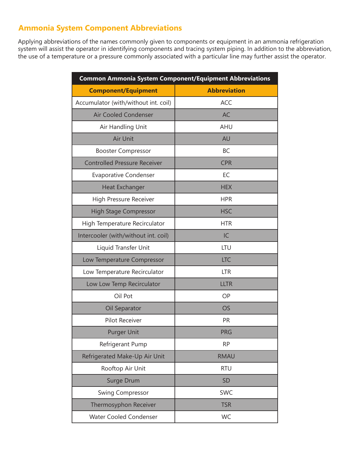# **Ammonia System Component Abbreviations**

Applying abbreviations of the names commonly given to components or equipment in an ammonia refrigeration system will assist the operator in identifying components and tracing system piping. In addition to the abbreviation, the use of a temperature or a pressure commonly associated with a particular line may further assist the operator.

| <b>Common Ammonia System Component/Equipment Abbreviations</b> |                     |  |
|----------------------------------------------------------------|---------------------|--|
| <b>Component/Equipment</b>                                     | <b>Abbreviation</b> |  |
| Accumulator (with/without int. coil)                           | <b>ACC</b>          |  |
| Air Cooled Condenser                                           | <b>AC</b>           |  |
| Air Handling Unit                                              | <b>AHU</b>          |  |
| Air Unit                                                       | AU                  |  |
| <b>Booster Compressor</b>                                      | <b>BC</b>           |  |
| <b>Controlled Pressure Receiver</b>                            | <b>CPR</b>          |  |
| <b>Evaporative Condenser</b>                                   | EC                  |  |
| Heat Exchanger                                                 | <b>HEX</b>          |  |
| High Pressure Receiver                                         | <b>HPR</b>          |  |
| <b>High Stage Compressor</b>                                   | <b>HSC</b>          |  |
| High Temperature Recirculator                                  | <b>HTR</b>          |  |
| Intercooler (with/without int. coil)                           | IC                  |  |
| Liquid Transfer Unit                                           | LTU                 |  |
| Low Temperature Compressor                                     | <b>LTC</b>          |  |
| Low Temperature Recirculator                                   | <b>LTR</b>          |  |
| Low Low Temp Recirculator                                      | <b>LLTR</b>         |  |
| Oil Pot                                                        | OP                  |  |
| Oil Separator                                                  | <b>OS</b>           |  |
| <b>Pilot Receiver</b>                                          | <b>PR</b>           |  |
| <b>Purger Unit</b>                                             | <b>PRG</b>          |  |
| Refrigerant Pump                                               | <b>RP</b>           |  |
| Refrigerated Make-Up Air Unit                                  | <b>RMAU</b>         |  |
| Rooftop Air Unit                                               | <b>RTU</b>          |  |
| Surge Drum                                                     | <b>SD</b>           |  |
| <b>Swing Compressor</b>                                        | <b>SWC</b>          |  |
| Thermosyphon Receiver                                          | <b>TSR</b>          |  |
| <b>Water Cooled Condenser</b>                                  | WC                  |  |